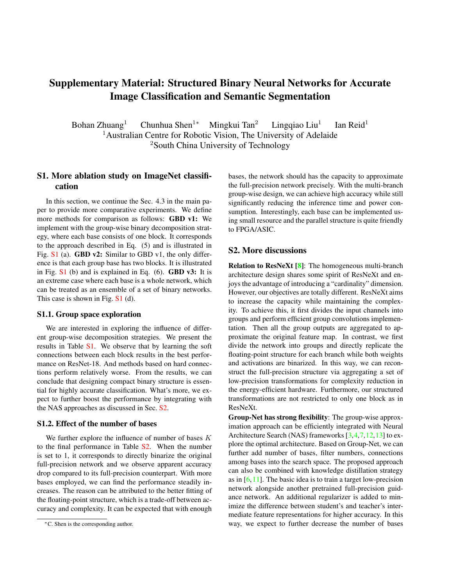# Supplementary Material: Structured Binary Neural Networks for Accurate Image Classification and Semantic Segmentation

Bohan Zhuang<sup>1</sup> Chunhua Shen<sup>1∗</sup> Mingkui Tan<sup>2</sup> Lingqiao Liu<sup>1</sup> Ian Reid $<sup>1</sup>$ </sup> <sup>1</sup> Australian Centre for Robotic Vision, The University of Adelaide <sup>2</sup>South China University of Technology

## S1. More ablation study on ImageNet classification

In this section, we continue the Sec. 4.3 in the main paper to provide more comparative experiments. We define more methods for comparison as follows: GBD v1: We implement with the group-wise binary decomposition strategy, where each base consists of one block. It corresponds to the approach described in Eq. (5) and is illustrated in Fig. S1 (a). **GBD v2:** Similar to GBD v1, the only difference is that each group base has two blocks. It is illustrated in Fig.  $S1$  (b) and is explained in Eq. (6). **GBD v3:** It is an extreme case where each base is a whole network, which can be treated as an ensemble of a set of binary networks. This case is shown in Fig.  $S1$  (d).

#### S1.1. Group space exploration

We are interested in exploring the influence of different group-wise decomposition strategies. We present the results in Table S1. We observe that by learning the soft connections between each block results in the best performance on ResNet-18. And methods based on hard connections perform relatively worse. From the results, we can conclude that designing compact binary structure is essential for highly accurate classification. What's more, we expect to further boost the performance by integrating with the NAS approaches as discussed in Sec. S2.

### S1.2. Effect of the number of bases

We further explore the influence of number of bases  $K$ to the final performance in Table S2. When the number is set to 1, it corresponds to directly binarize the original full-precision network and we observe apparent accuracy drop compared to its full-precision counterpart. With more bases employed, we can find the performance steadily increases. The reason can be attributed to the better fitting of the floating-point structure, which is a trade-off between accuracy and complexity. It can be expected that with enough

bases, the network should has the capacity to approximate the full-precision network precisely. With the multi-branch group-wise design, we can achieve high accuracy while still significantly reducing the inference time and power consumption. Interestingly, each base can be implemented using small resource and the parallel structure is quite friendly to FPGA/ASIC.

### S2. More discussions

Relation to ResNeXt [8]: The homogeneous multi-branch architecture design shares some spirit of ResNeXt and enjoys the advantage of introducing a "cardinality" dimension. However, our objectives are totally different. ResNeXt aims to increase the capacity while maintaining the complexity. To achieve this, it first divides the input channels into groups and perform efficient group convolutions implementation. Then all the group outputs are aggregated to approximate the original feature map. In contrast, we first divide the network into groups and directly replicate the floating-point structure for each branch while both weights and activations are binarized. In this way, we can reconstruct the full-precision structure via aggregating a set of low-precision transformations for complexity reduction in the energy-efficient hardware. Furthermore, our structured transformations are not restricted to only one block as in ResNeXt.

Group-Net has strong flexibility: The group-wise approximation approach can be efficiently integrated with Neural Architecture Search (NAS) frameworks [3,4,7,12,13] to explore the optimal architecture. Based on Group-Net, we can further add number of bases, filter numbers, connections among bases into the search space. The proposed approach can also be combined with knowledge distillation strategy as in  $[6,11]$ . The basic idea is to train a target low-precision network alongside another pretrained full-precision guidance network. An additional regularizer is added to minimize the difference between student's and teacher's intermediate feature representations for higher accuracy. In this way, we expect to further decrease the number of bases

<sup>∗</sup>C. Shen is the corresponding author.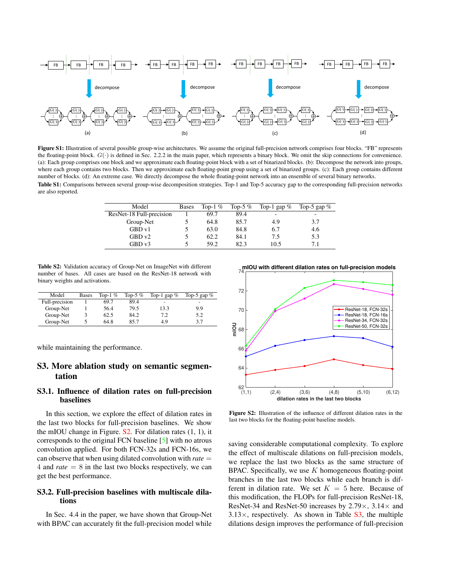

Figure S1: Illustration of several possible group-wise architectures. We assume the original full-precision network comprises four blocks. "FB" represents the floating-point block.  $G(\cdot)$  is defined in Sec. 2.2.2 in the main paper, which represents a binary block. We omit the skip connections for convenience. (a): Each group comprises one block and we approximate each floating-point block with a set of binarized blocks. (b): Decompose the network into groups, where each group contains two blocks. Then we approximate each floating-point group using a set of binarized groups. (c): Each group contains different number of blocks. (d): An extreme case. We directly decompose the whole floating-point network into an ensemble of several binary networks. Table S1: Comparisons between several group-wise decomposition strategies. Top-1 and Top-5 accuracy gap to the corresponding full-precision networks are also reported.

| Model                    | <b>Bases</b> | Top-1 $%$ | Top-5 $%$ | Top-1 gap $%$ | Top-5 gap $%$ |
|--------------------------|--------------|-----------|-----------|---------------|---------------|
| ResNet-18 Full-precision |              | 69.7      | 89.4      | -             | ۰             |
| Group-Net                |              | 64.8      | 85.7      | 4.9           | 3.7           |
| GBD v1                   |              | 63.0      | 84.8      | 6.7           | 4.6           |
| GBDv2                    |              | 62.2      | 84.1      | 7.5           | 5.3           |
| GBD v3                   |              | 59.2      | 82.3      | 10.5          | 7.1           |

Table S2: Validation accuracy of Group-Net on ImageNet with different number of bases. All cases are based on the ResNet-18 network with binary weights and activations.

| Model          | <b>Bases</b> | Top-1 $%$ | Top-5 $%$ | Top-1 gap $%$ | Top-5 gap $%$ |
|----------------|--------------|-----------|-----------|---------------|---------------|
| Full-precision |              | 69.7      | 89.4      | -             | -             |
| Group-Net      |              | 56.4      | 79.5      | 13.3          | 9.9           |
| Group-Net      | 3            | 62.5      | 84.2      | 7.2           | 5.2           |
| Group-Net      |              | 64.8      | 85.7      | 4.9           | 3.7           |

while maintaining the performance.

## S3. More ablation study on semantic segmentation

### S3.1. Influence of dilation rates on full-precision baselines

In this section, we explore the effect of dilation rates in the last two blocks for full-precision baselines. We show the mIOU change in Figure.  $S2$ . For dilation rates  $(1, 1)$ , it corresponds to the original FCN baseline [5] with no atrous convolution applied. For both FCN-32s and FCN-16s, we can observe that when using dilated convolution with *rate* = 4 and *rate* = 8 in the last two blocks respectively, we can get the best performance.

## S3.2. Full-precision baselines with multiscale dilations

In Sec. 4.4 in the paper, we have shown that Group-Net with BPAC can accurately fit the full-precision model while



Figure S2: Illustration of the influence of different dilation rates in the last two blocks for the floating-point baseline models.

saving considerable computational complexity. To explore the effect of multiscale dilations on full-precision models, we replace the last two blocks as the same structure of BPAC. Specifically, we use  $K$  homogeneous floating-point branches in the last two blocks while each branch is different in dilation rate. We set  $K = 5$  here. Because of this modification, the FLOPs for full-precision ResNet-18, ResNet-34 and ResNet-50 increases by  $2.79 \times$ ,  $3.14 \times$  and  $3.13\times$ , respectively. As shown in Table S3, the multiple dilations design improves the performance of full-precision

**mIOU with different dilation rates on full-precision models**<br>74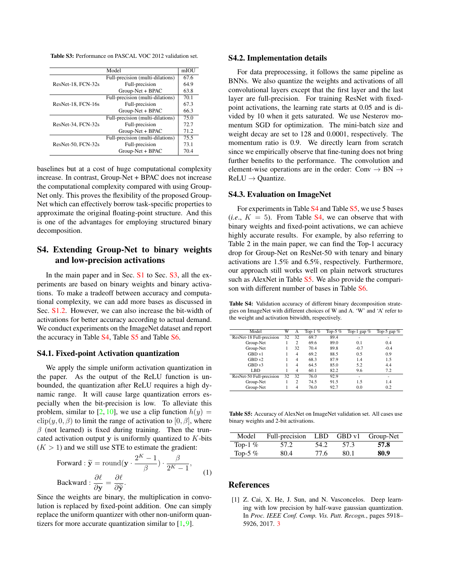Table S3: Performance on PASCAL VOC 2012 validation set.

|                    | Model                            | mIOU |
|--------------------|----------------------------------|------|
|                    | Full-precision (multi-dilations) | 67.6 |
| ResNet-18, FCN-32s | Full-precision                   | 64.9 |
|                    | Group-Net + BPAC                 | 63.8 |
|                    | Full-precision (multi-dilations) | 70.1 |
| ResNet-18, FCN-16s | Full-precision                   | 67.3 |
|                    | Group-Net + BPAC                 | 66.3 |
|                    | Full-precision (multi-dilations) | 75.0 |
| ResNet-34, FCN-32s | Full-precision                   | 72.7 |
|                    | Group-Net + BPAC                 | 71.2 |
|                    | Full-precision (multi-dilations) | 75.5 |
| ResNet-50, FCN-32s | Full-precision                   | 73.1 |
|                    | Group-Net + BPAC                 | 70.4 |

baselines but at a cost of huge computational complexity increase. In contrast, Group-Net + BPAC does not increase the computational complexity compared with using Group-Net only. This proves the flexibility of the proposed Group-Net which can effectively borrow task-specific properties to approximate the original floating-point structure. And this is one of the advantages for employing structured binary decomposition.

## S4. Extending Group-Net to binary weights and low-precision activations

In the main paper and in Sec. S1 to Sec. S3, all the experiments are based on binary weights and binary activations. To make a tradeoff between accuracy and computational complexity, we can add more bases as discussed in Sec. S1.2. However, we can also increase the bit-width of activations for better accuracy according to actual demand. We conduct experiments on the ImageNet dataset and report the accuracy in Table S4, Table S5 and Table S6.

## S4.1. Fixed-point Activation quantization

We apply the simple uniform activation quantization in the paper. As the output of the ReLU function is unbounded, the quantization after ReLU requires a high dynamic range. It will cause large quantization errors especially when the bit-precision is low. To alleviate this problem, similar to [2, 10], we use a clip function  $h(y) =$  $\text{clip}(y, 0, \beta)$  to limit the range of activation to [0,  $\beta$ ], where  $\beta$  (not learned) is fixed during training. Then the truncated activation output  $y$  is uniformly quantized to  $K$ -bits  $(K > 1)$  and we still use STE to estimate the gradient:

Forward : 
$$
\tilde{\mathbf{y}} = \text{round}(\mathbf{y} \cdot \frac{2^K - 1}{\beta}) \cdot \frac{\beta}{2^K - 1}
$$
,  
Backward :  $\frac{\partial \ell}{\partial \mathbf{y}} = \frac{\partial \ell}{\partial \tilde{\mathbf{y}}}$ . (1)

Since the weights are binary, the multiplication in convolution is replaced by fixed-point addition. One can simply replace the uniform quantizer with other non-uniform quantizers for more accurate quantization similar to  $[1, 9]$ .

#### S4.2. Implementation details

For data preprocessing, it follows the same pipeline as BNNs. We also quantize the weights and activations of all convolutional layers except that the first layer and the last layer are full-precision. For training ResNet with fixedpoint activations, the learning rate starts at 0.05 and is divided by 10 when it gets saturated. We use Nesterov momentum SGD for optimization. The mini-batch size and weight decay are set to 128 and 0.0001, respectively. The momentum ratio is 0.9. We directly learn from scratch since we empirically observe that fine-tuning does not bring further benefits to the performance. The convolution and element-wise operations are in the order: Conv  $\rightarrow$  BN  $\rightarrow$  $ReLU \rightarrow Quantize.$ 

#### S4.3. Evaluation on ImageNet

For experiments in Table S4 and Table S5, we use 5 bases  $(i.e., K = 5)$ . From Table S4, we can observe that with binary weights and fixed-point activations, we can achieve highly accurate results. For example, by also referring to Table 2 in the main paper, we can find the Top-1 accuracy drop for Group-Net on ResNet-50 with tenary and binary activations are 1.5% and 6.5%, respectively. Furthermore, our approach still works well on plain network structures such as AlexNet in Table S<sub>5</sub>. We also provide the comparison with different number of bases in Table S6.

Table S4: Validation accuracy of different binary decomposition strategies on ImageNet with different choices of W and A. 'W' and 'A' refer to the weight and activation bitwidth, respectively.

| Model                    | W  | А              | Top-1 $%$ | Top-5 $%$ | Top-1 gap $%$ | Top-5 gap $%$            |
|--------------------------|----|----------------|-----------|-----------|---------------|--------------------------|
| ResNet-18 Full-precision | 32 | 32             | 69.7      | 89.4      |               |                          |
| Group-Net                |    | 2              | 69.6      | 89.0      | 0.1           | 0.4                      |
| Group-Net                |    | 32             | 70.4      | 89.8      | $-0.7$        | $-0.4$                   |
| GBD v1                   |    | 4              | 69.2      | 88.5      | 0.5           | 0.9                      |
| GBDv2                    |    | $\overline{4}$ | 68.3      | 87.9      | 1.4           | 1.5                      |
| GBDv3                    |    | 4              | 64.5      | 85.0      | 5.2           | 4.4                      |
| LBD                      |    | $\overline{4}$ | 60.1      | 82.2      | 9.6           | 7.2                      |
| ResNet-50 Full-precision | 32 | 32             | 76.0      | 92.9      | ۰             | $\overline{\phantom{a}}$ |
| Group-Net                |    | $\overline{c}$ | 74.5      | 91.5      | 1.5           | 1.4                      |
| Group-Net                |    | 4              | 76.0      | 92.7      | 0.0           | 0.2                      |

Table S5: Accuracy of AlexNet on ImageNet validation set. All cases use binary weights and 2-bit activations.

| Model     | Full-precision LBD |      |      | GBD v1 Group-Net |
|-----------|--------------------|------|------|------------------|
| Top-1 $%$ | 57.2               | 54.2 | 57.3 | 57.8             |
| Top-5 $%$ | 80.4               | 77.6 | 80.1 | 80.9             |

#### References

[1] Z. Cai, X. He, J. Sun, and N. Vasconcelos. Deep learning with low precision by half-wave gaussian quantization. In *Proc. IEEE Conf. Comp. Vis. Patt. Recogn.*, pages 5918– 5926, 2017. 3